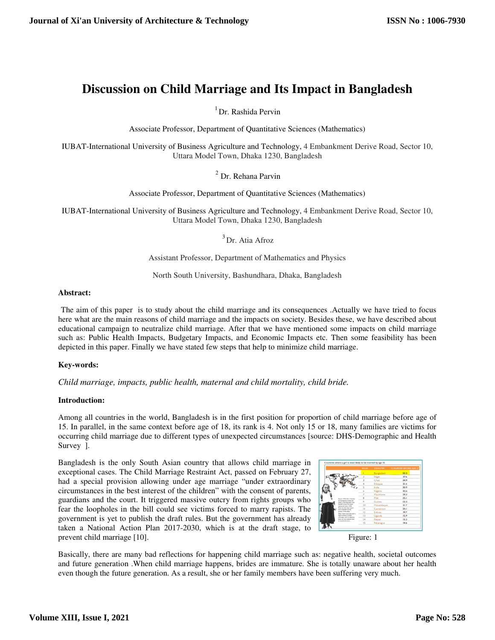# **Discussion on Child Marriage and Its Impact in Bangladesh**

 $1$ Dr. Rashida Pervin

Associate Professor, Department of Quantitative Sciences (Mathematics)

IUBAT-International University of Business Agriculture and Technology, 4 Embankment Derive Road, Sector 10, Uttara Model Town, Dhaka 1230, Bangladesh

<sup>2</sup> Dr. Rehana Parvin

Associate Professor, Department of Quantitative Sciences (Mathematics)

IUBAT-International University of Business Agriculture and Technology, 4 Embankment Derive Road, Sector 10, Uttara Model Town, Dhaka 1230, Bangladesh

<sup>3</sup> Dr. Atia Afroz

Assistant Professor, Department of Mathematics and Physics

North South University, Bashundhara, Dhaka, Bangladesh

## **Abstract:**

The aim of this paper is to study about the child marriage and its consequences .Actually we have tried to focus here what are the main reasons of child marriage and the impacts on society. Besides these, we have described about educational campaign to neutralize child marriage. After that we have mentioned some impacts on child marriage such as: Public Health Impacts, Budgetary Impacts, and Economic Impacts etc. Then some feasibility has been depicted in this paper. Finally we have stated few steps that help to minimize child marriage.

## **Key-words:**

*Child marriage, impacts, public health, maternal and child mortality, child bride.* 

## **Introduction:**

Among all countries in the world, Bangladesh is in the first position for proportion of child marriage before age of 15. In parallel, in the same context before age of 18, its rank is 4. Not only 15 or 18, many families are victims for occurring child marriage due to different types of unexpected circumstances [source: DHS-Demographic and Health Survey ].

Bangladesh is the only South Asian country that allows child marriage in exceptional cases. The Child Marriage Restraint Act, passed on February 27, had a special provision allowing under age marriage "under extraordinary circumstances in the best interest of the children" with the consent of parents, guardians and the court. It triggered massive outcry from rights groups who fear the loopholes in the bill could see victims forced to marry rapists. The government is yet to publish the draft rules. But the government has already taken a National Action Plan 2017-2030, which is at the draft stage, to prevent child marriage [10]. Figure: 1





Basically, there are many bad reflections for happening child marriage such as: negative health, societal outcomes and future generation .When child marriage happens, brides are immature. She is totally unaware about her health even though the future generation. As a result, she or her family members have been suffering very much.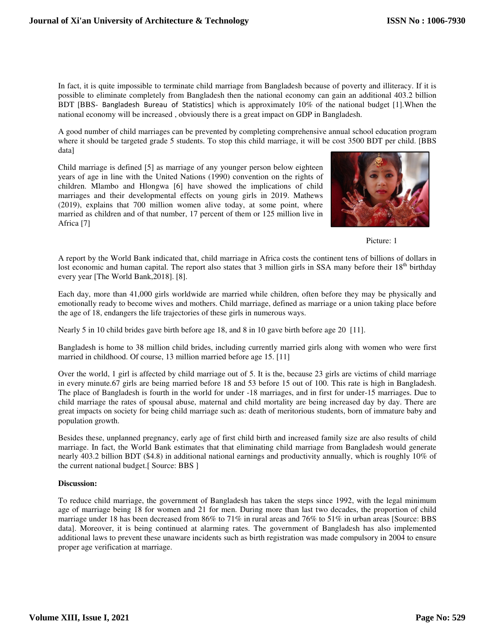In fact, it is quite impossible to terminate child marriage from Bangladesh because of poverty and illiteracy. If it is possible to eliminate completely from Bangladesh then the national economy can gain an additional 403.2 billion BDT [BBS- Bangladesh Bureau of Statistics] which is approximately 10% of the national budget [1].When the national economy will be increased , obviously there is a great impact on GDP in Bangladesh.

A good number of child marriages can be prevented by completing comprehensive annual school education program where it should be targeted grade 5 students. To stop this child marriage, it will be cost 3500 BDT per child. [BBS data]

Child marriage is defined [5] as marriage of any younger person below eighteen years of age in line with the United Nations (1990) convention on the rights of children. Mlambo and Hlongwa [6] have showed the implications of child marriages and their developmental effects on young girls in 2019. Mathews (2019), explains that 700 million women alive today, at some point, where married as children and of that number, 17 percent of them or 125 million live in Africa [7]



Picture: 1

A report by the World Bank indicated that, child marriage in Africa costs the continent tens of billions of dollars in lost economic and human capital. The report also states that 3 million girls in SSA many before their  $18<sup>th</sup>$  birthday every year [The World Bank,2018]. [8].

Each day, more than 41,000 girls worldwide are married while children, often before they may be physically and emotionally ready to become wives and mothers. Child marriage, defined as marriage or a union taking place before the age of 18, endangers the life trajectories of these girls in numerous ways.

Nearly 5 in 10 child brides gave birth before age 18, and 8 in 10 gave birth before age 20 [11].

Bangladesh is home to 38 million child brides, including currently married girls along with women who were first married in childhood. Of course, 13 million married before age 15. [11]

Over the world, 1 girl is affected by child marriage out of 5. It is the, because 23 girls are victims of child marriage in every minute.67 girls are being married before 18 and 53 before 15 out of 100. This rate is high in Bangladesh. The place of Bangladesh is fourth in the world for under -18 marriages, and in first for under-15 marriages. Due to child marriage the rates of spousal abuse, maternal and child mortality are being increased day by day. There are great impacts on society for being child marriage such as: death of meritorious students, born of immature baby and population growth.

Besides these, unplanned pregnancy, early age of first child birth and increased family size are also results of child marriage. In fact, the World Bank estimates that that eliminating child marriage from Bangladesh would generate nearly 403.2 billion BDT (\$4.8) in additional national earnings and productivity annually, which is roughly 10% of the current national budget.[ Source: BBS ]

## **Discussion:**

To reduce child marriage, the government of Bangladesh has taken the steps since 1992, with the legal minimum age of marriage being 18 for women and 21 for men. During more than last two decades, the proportion of child marriage under 18 has been decreased from 86% to 71% in rural areas and 76% to 51% in urban areas [Source: BBS data]. Moreover, it is being continued at alarming rates. The government of Bangladesh has also implemented additional laws to prevent these unaware incidents such as birth registration was made compulsory in 2004 to ensure proper age verification at marriage.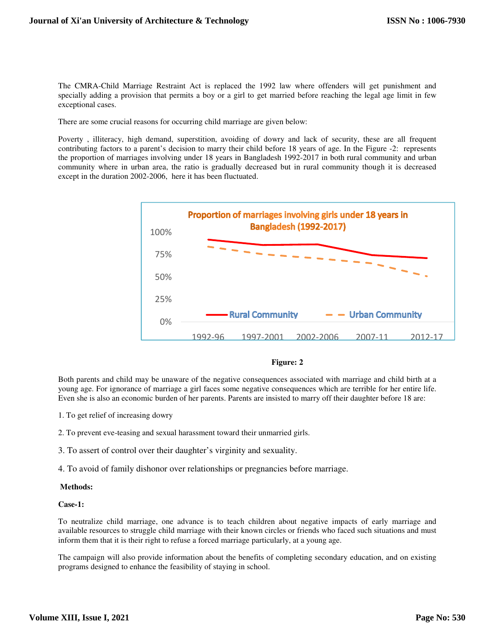The CMRA-Child Marriage Restraint Act is replaced the 1992 law where offenders will get punishment and specially adding a provision that permits a boy or a girl to get married before reaching the legal age limit in few exceptional cases.

There are some crucial reasons for occurring child marriage are given below:

Poverty , illiteracy, high demand, superstition, avoiding of dowry and lack of security, these are all frequent contributing factors to a parent's decision to marry their child before 18 years of age. In the Figure -2: represents the proportion of marriages involving under 18 years in Bangladesh 1992-2017 in both rural community and urban community where in urban area, the ratio is gradually decreased but in rural community though it is decreased except in the duration 2002-2006, here it has been fluctuated.



#### **Figure: 2**

Both parents and child may be unaware of the negative consequences associated with marriage and child birth at a young age. For ignorance of marriage a girl faces some negative consequences which are terrible for her entire life. Even she is also an economic burden of her parents. Parents are insisted to marry off their daughter before 18 are:

- 1. To get relief of increasing dowry
- 2. To prevent eve-teasing and sexual harassment toward their unmarried girls.
- 3. To assert of control over their daughter's virginity and sexuality.
- 4. To avoid of family dishonor over relationships or pregnancies before marriage.

#### **Methods:**

#### **Case-1:**

To neutralize child marriage, one advance is to teach children about negative impacts of early marriage and available resources to struggle child marriage with their known circles or friends who faced such situations and must inform them that it is their right to refuse a forced marriage particularly, at a young age.

The campaign will also provide information about the benefits of completing secondary education, and on existing programs designed to enhance the feasibility of staying in school.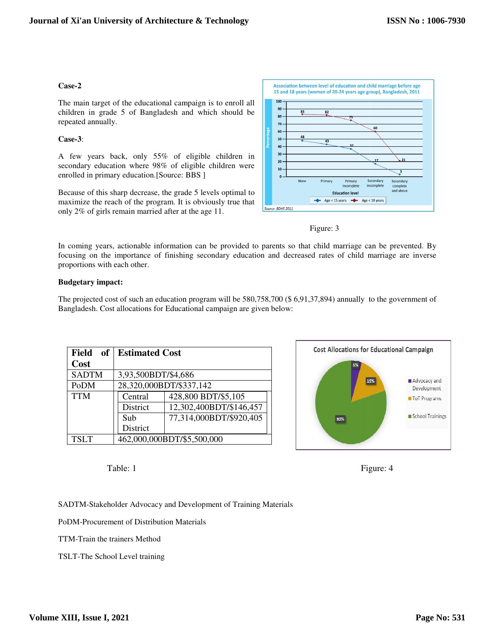## **Case-2**

The main target of the educational campaign is to enroll all children in grade 5 of Bangladesh and which should be repeated annually.

## **Case-3**:

A few years back, only 55% of eligible children in secondary education where 98% of eligible children were enrolled in primary education.[Source: BBS ]

Because of this sharp decrease, the grade 5 levels optimal to maximize the reach of the program. It is obviously true that only 2% of girls remain married after at the age 11. Some some some control of girls remain married after at the age 11.





In coming years, actionable information can be provided to parents so that child marriage can be focusing on the importance of finishing secondary education and decreased rates of child marriage are inverse proportions with each other.

## **Budgetary impact:**

|                                   | udgetary impact:           |                                                                       |                                                                                                                  |
|-----------------------------------|----------------------------|-----------------------------------------------------------------------|------------------------------------------------------------------------------------------------------------------|
|                                   |                            | angladesh. Cost allocations for Educational campaign are given below: | ne projected cost of such an education program will be 580,758,700 (\$6,91,37,894) annually to the government of |
| <b>Field</b><br><b>of</b><br>Cost | <b>Estimated Cost</b>      |                                                                       | <b>Cost Allocations for Educational Campaign</b>                                                                 |
| <b>SADTM</b>                      | 3,93,500BDT/\$4,686        |                                                                       | 5%                                                                                                               |
| PoDM                              |                            | 28,320,000BDT/\$337,142                                               | 15%<br>Advocacy an<br>Developmer                                                                                 |
| <b>TTM</b>                        | Central                    | 428,800 BDT/\$5,105                                                   | ToT Program                                                                                                      |
|                                   | District                   | 12,302,400BDT/\$146,457                                               |                                                                                                                  |
|                                   | Sub                        | 77,314,000BDT/\$920,405                                               | School Train<br>80%                                                                                              |
|                                   | District                   |                                                                       |                                                                                                                  |
| <b>TSLT</b>                       | 462,000,000BDT/\$5,500,000 |                                                                       |                                                                                                                  |
| Table: 1                          |                            |                                                                       | Figure: 4                                                                                                        |





TTM-Train the trainers Method

TSLT-The School Level training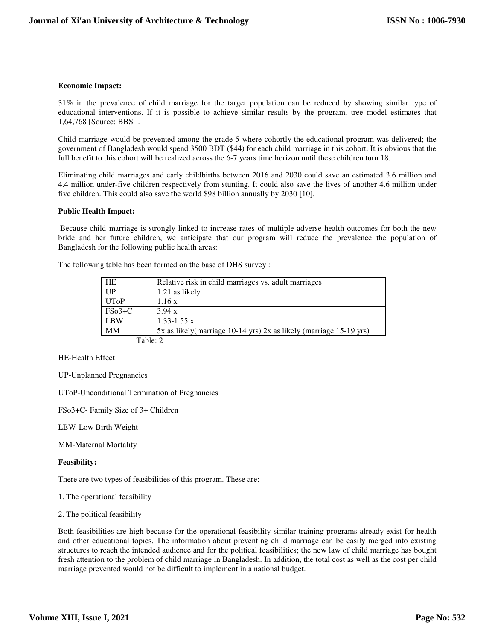#### **Economic Impact:**

31% in the prevalence of child marriage for the target population can be reduced by showing similar type of educational interventions. If it is possible to achieve similar results by the program, tree model estimates that 1,64,768 [Source: BBS ].

Child marriage would be prevented among the grade 5 where cohortly the educational program was delivered; the government of Bangladesh would spend 3500 BDT (\$44) for each child marriage in this cohort. It is obvious that the full benefit to this cohort will be realized across the 6-7 years time horizon until these children turn 18.

Eliminating child marriages and early childbirths between 2016 and 2030 could save an estimated 3.6 million and 4.4 million under-five children respectively from stunting. It could also save the lives of another 4.6 million under five children. This could also save the world \$98 billion annually by 2030 [10].

#### **Public Health Impact:**

Because child marriage is strongly linked to increase rates of multiple adverse health outcomes for both the new bride and her future children, we anticipate that our program will reduce the prevalence the population of Bangladesh for the following public health areas:

| The following table has been formed on the base of DHS survey : |
|-----------------------------------------------------------------|
|-----------------------------------------------------------------|

| HE          | Relative risk in child marriages vs. adult marriages                |
|-------------|---------------------------------------------------------------------|
| UP          | 1.21 as likely                                                      |
| <b>UToP</b> | 1.16 x                                                              |
| $FSo3+C$    | 3.94 x                                                              |
| <b>LBW</b>  | $1.33 - 1.55$ x                                                     |
| MМ          | 5x as likely (marriage 10-14 yrs) 2x as likely (marriage 15-19 yrs) |
| Table: 2    |                                                                     |

HE-Health Effect

UP-Unplanned Pregnancies

UToP-Unconditional Termination of Pregnancies

FSo3+C- Family Size of 3+ Children

LBW-Low Birth Weight

MM-Maternal Mortality

#### **Feasibility:**

There are two types of feasibilities of this program. These are:

1. The operational feasibility

2. The political feasibility

Both feasibilities are high because for the operational feasibility similar training programs already exist for health and other educational topics. The information about preventing child marriage can be easily merged into existing structures to reach the intended audience and for the political feasibilities; the new law of child marriage has bought fresh attention to the problem of child marriage in Bangladesh. In addition, the total cost as well as the cost per child marriage prevented would not be difficult to implement in a national budget.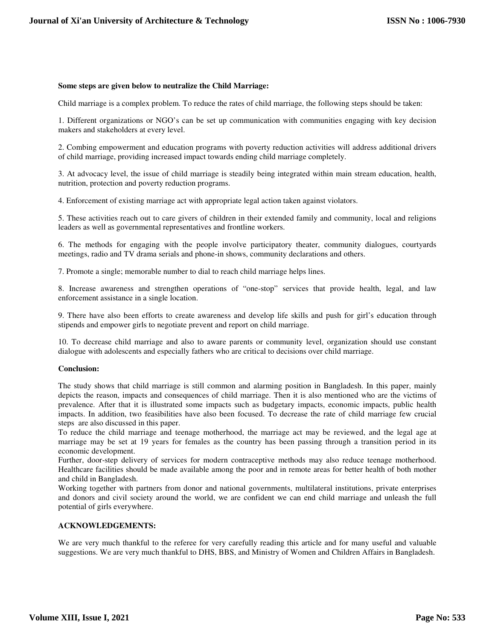#### **Some steps are given below to neutralize the Child Marriage:**

Child marriage is a complex problem. To reduce the rates of child marriage, the following steps should be taken:

1. Different organizations or NGO's can be set up communication with communities engaging with key decision makers and stakeholders at every level.

2. Combing empowerment and education programs with poverty reduction activities will address additional drivers of child marriage, providing increased impact towards ending child marriage completely.

3. At advocacy level, the issue of child marriage is steadily being integrated within main stream education, health, nutrition, protection and poverty reduction programs.

4. Enforcement of existing marriage act with appropriate legal action taken against violators.

5. These activities reach out to care givers of children in their extended family and community, local and religions leaders as well as governmental representatives and frontline workers.

6. The methods for engaging with the people involve participatory theater, community dialogues, courtyards meetings, radio and TV drama serials and phone-in shows, community declarations and others.

7. Promote a single; memorable number to dial to reach child marriage helps lines.

8. Increase awareness and strengthen operations of "one-stop" services that provide health, legal, and law enforcement assistance in a single location.

9. There have also been efforts to create awareness and develop life skills and push for girl's education through stipends and empower girls to negotiate prevent and report on child marriage.

10. To decrease child marriage and also to aware parents or community level, organization should use constant dialogue with adolescents and especially fathers who are critical to decisions over child marriage.

#### **Conclusion:**

The study shows that child marriage is still common and alarming position in Bangladesh. In this paper, mainly depicts the reason, impacts and consequences of child marriage. Then it is also mentioned who are the victims of prevalence. After that it is illustrated some impacts such as budgetary impacts, economic impacts, public health impacts. In addition, two feasibilities have also been focused. To decrease the rate of child marriage few crucial steps are also discussed in this paper.

To reduce the child marriage and teenage motherhood, the marriage act may be reviewed, and the legal age at marriage may be set at 19 years for females as the country has been passing through a transition period in its economic development.

Further, door-step delivery of services for modern contraceptive methods may also reduce teenage motherhood. Healthcare facilities should be made available among the poor and in remote areas for better health of both mother and child in Bangladesh.

Working together with partners from donor and national governments, multilateral institutions, private enterprises and donors and civil society around the world, we are confident we can end child marriage and unleash the full potential of girls everywhere.

## **ACKNOWLEDGEMENTS:**

We are very much thankful to the referee for very carefully reading this article and for many useful and valuable suggestions. We are very much thankful to DHS, BBS, and Ministry of Women and Children Affairs in Bangladesh.